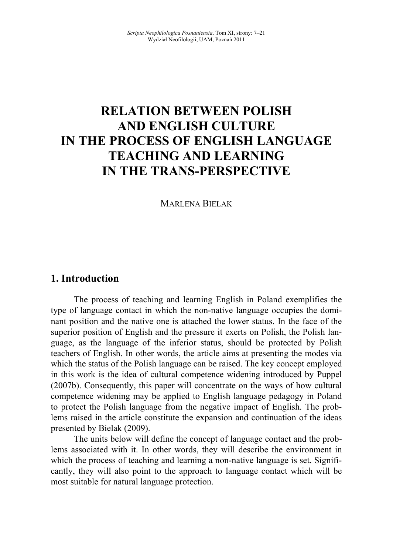# **RELATIO BETWEE POLISH AD EGLISH CULTURE**  IN THE PROCESS OF ENGLISH LANGUAGE **TEACHING AND LEARNING I THE TRAS-PERSPECTIVE**

MARLENA BIELAK

### **1. Introduction**

The process of teaching and learning English in Poland exemplifies the type of language contact in which the non-native language occupies the dominant position and the native one is attached the lower status. In the face of the superior position of English and the pressure it exerts on Polish, the Polish language, as the language of the inferior status, should be protected by Polish teachers of English. In other words, the article aims at presenting the modes via which the status of the Polish language can be raised. The key concept employed in this work is the idea of cultural competence widening introduced by Puppel (2007b). Consequently, this paper will concentrate on the ways of how cultural competence widening may be applied to English language pedagogy in Poland to protect the Polish language from the negative impact of English. The problems raised in the article constitute the expansion and continuation of the ideas presented by Bielak (2009).

The units below will define the concept of language contact and the problems associated with it. In other words, they will describe the environment in which the process of teaching and learning a non-native language is set. Significantly, they will also point to the approach to language contact which will be most suitable for natural language protection.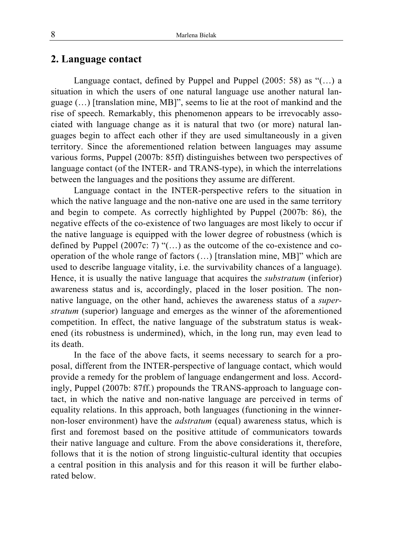#### **2. Language contact**

Language contact, defined by Puppel and Puppel (2005: 58) as "(…) a situation in which the users of one natural language use another natural language (…) [translation mine, MB]", seems to lie at the root of mankind and the rise of speech. Remarkably, this phenomenon appears to be irrevocably associated with language change as it is natural that two (or more) natural languages begin to affect each other if they are used simultaneously in a given territory. Since the aforementioned relation between languages may assume various forms, Puppel (2007b: 85ff) distinguishes between two perspectives of language contact (of the INTER- and TRANS-type), in which the interrelations between the languages and the positions they assume are different.

Language contact in the INTER-perspective refers to the situation in which the native language and the non-native one are used in the same territory and begin to compete. As correctly highlighted by Puppel (2007b: 86), the negative effects of the co-existence of two languages are most likely to occur if the native language is equipped with the lower degree of robustness (which is defined by Puppel (2007c: 7) "(…) as the outcome of the co-existence and cooperation of the whole range of factors (…) [translation mine, MB]" which are used to describe language vitality, i.e. the survivability chances of a language). Hence, it is usually the native language that acquires the *substratum* (inferior) awareness status and is, accordingly, placed in the loser position. The nonnative language, on the other hand, achieves the awareness status of a *superstratum* (superior) language and emerges as the winner of the aforementioned competition. In effect, the native language of the substratum status is weakened (its robustness is undermined), which, in the long run, may even lead to its death.

In the face of the above facts, it seems necessary to search for a proposal, different from the INTER-perspective of language contact, which would provide a remedy for the problem of language endangerment and loss. Accordingly, Puppel (2007b: 87ff.) propounds the TRANS-approach to language contact, in which the native and non-native language are perceived in terms of equality relations. In this approach, both languages (functioning in the winnernon-loser environment) have the *adstratum* (equal) awareness status, which is first and foremost based on the positive attitude of communicators towards their native language and culture. From the above considerations it, therefore, follows that it is the notion of strong linguistic-cultural identity that occupies a central position in this analysis and for this reason it will be further elaborated below.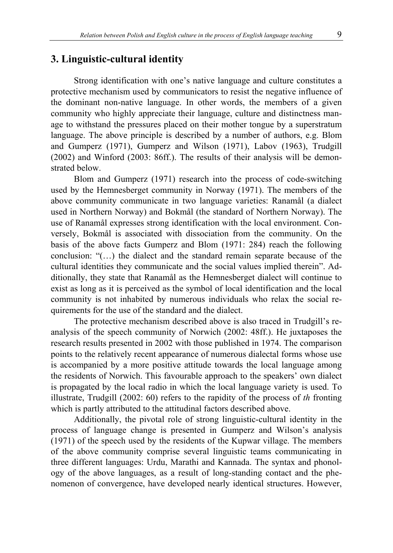#### **3. Linguistic-cultural identity**

Strong identification with one's native language and culture constitutes a protective mechanism used by communicators to resist the negative influence of the dominant non-native language. In other words, the members of a given community who highly appreciate their language, culture and distinctness manage to withstand the pressures placed on their mother tongue by a superstratum language. The above principle is described by a number of authors, e.g. Blom and Gumperz (1971), Gumperz and Wilson (1971), Labov (1963), Trudgill (2002) and Winford (2003: 86ff.). The results of their analysis will be demonstrated below.

Blom and Gumperz (1971) research into the process of code-switching used by the Hemnesberget community in Norway (1971). The members of the above community communicate in two language varieties: Ranamål (a dialect used in Northern Norway) and Bokmål (the standard of Northern Norway). The use of Ranamål expresses strong identification with the local environment. Conversely, Bokmål is associated with dissociation from the community. On the basis of the above facts Gumperz and Blom (1971: 284) reach the following conclusion: "(…) the dialect and the standard remain separate because of the cultural identities they communicate and the social values implied therein". Additionally, they state that Ranamål as the Hemnesberget dialect will continue to exist as long as it is perceived as the symbol of local identification and the local community is not inhabited by numerous individuals who relax the social requirements for the use of the standard and the dialect.

The protective mechanism described above is also traced in Trudgill's reanalysis of the speech community of Norwich (2002: 48ff.). He juxtaposes the research results presented in 2002 with those published in 1974. The comparison points to the relatively recent appearance of numerous dialectal forms whose use is accompanied by a more positive attitude towards the local language among the residents of Norwich. This favourable approach to the speakers' own dialect is propagated by the local radio in which the local language variety is used. To illustrate, Trudgill (2002: 60) refers to the rapidity of the process of *th* fronting which is partly attributed to the attitudinal factors described above.

Additionally, the pivotal role of strong linguistic-cultural identity in the process of language change is presented in Gumperz and Wilson's analysis (1971) of the speech used by the residents of the Kupwar village. The members of the above community comprise several linguistic teams communicating in three different languages: Urdu, Marathi and Kannada. The syntax and phonology of the above languages, as a result of long-standing contact and the phenomenon of convergence, have developed nearly identical structures. However,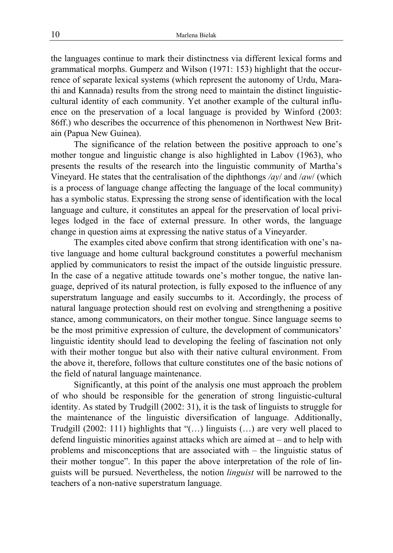the languages continue to mark their distinctness via different lexical forms and grammatical morphs. Gumperz and Wilson (1971: 153) highlight that the occurrence of separate lexical systems (which represent the autonomy of Urdu, Marathi and Kannada) results from the strong need to maintain the distinct linguisticcultural identity of each community. Yet another example of the cultural influence on the preservation of a local language is provided by Winford (2003: 86ff.) who describes the occurrence of this phenomenon in Northwest New Britain (Papua New Guinea).

The significance of the relation between the positive approach to one's mother tongue and linguistic change is also highlighted in Labov (1963), who presents the results of the research into the linguistic community of Martha's Vineyard. He states that the centralisation of the diphthongs */ay*/ and /*aw*/ (which is a process of language change affecting the language of the local community) has a symbolic status. Expressing the strong sense of identification with the local language and culture, it constitutes an appeal for the preservation of local privileges lodged in the face of external pressure. In other words, the language change in question aims at expressing the native status of a Vineyarder.

The examples cited above confirm that strong identification with one's native language and home cultural background constitutes a powerful mechanism applied by communicators to resist the impact of the outside linguistic pressure. In the case of a negative attitude towards one's mother tongue, the native language, deprived of its natural protection, is fully exposed to the influence of any superstratum language and easily succumbs to it. Accordingly, the process of natural language protection should rest on evolving and strengthening a positive stance, among communicators, on their mother tongue. Since language seems to be the most primitive expression of culture, the development of communicators' linguistic identity should lead to developing the feeling of fascination not only with their mother tongue but also with their native cultural environment. From the above it, therefore, follows that culture constitutes one of the basic notions of the field of natural language maintenance.

Significantly, at this point of the analysis one must approach the problem of who should be responsible for the generation of strong linguistic-cultural identity. As stated by Trudgill (2002: 31), it is the task of linguists to struggle for the maintenance of the linguistic diversification of language. Additionally, Trudgill (2002: 111) highlights that "(…) linguists (…) are very well placed to defend linguistic minorities against attacks which are aimed at – and to help with problems and misconceptions that are associated with – the linguistic status of their mother tongue". In this paper the above interpretation of the role of linguists will be pursued. Nevertheless, the notion *linguist* will be narrowed to the teachers of a non-native superstratum language.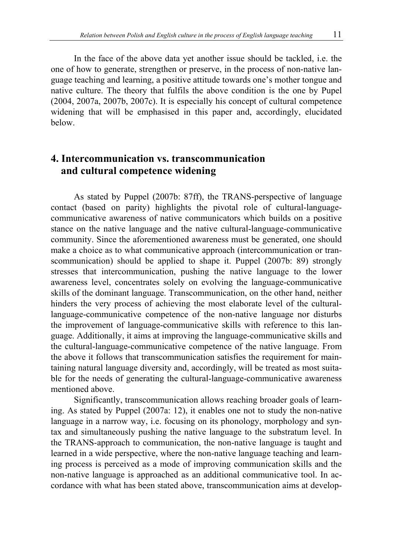In the face of the above data yet another issue should be tackled, i.e. the one of how to generate, strengthen or preserve, in the process of non-native language teaching and learning, a positive attitude towards one's mother tongue and native culture. The theory that fulfils the above condition is the one by Pupel (2004, 2007a, 2007b, 2007c). It is especially his concept of cultural competence widening that will be emphasised in this paper and, accordingly, elucidated below.

# **4. Intercommunication vs. transcommunication and cultural competence widening**

As stated by Puppel (2007b: 87ff), the TRANS-perspective of language contact (based on parity) highlights the pivotal role of cultural-languagecommunicative awareness of native communicators which builds on a positive stance on the native language and the native cultural-language-communicative community. Since the aforementioned awareness must be generated, one should make a choice as to what communicative approach (intercommunication or transcommunication) should be applied to shape it. Puppel (2007b: 89) strongly stresses that intercommunication, pushing the native language to the lower awareness level, concentrates solely on evolving the language-communicative skills of the dominant language. Transcommunication, on the other hand, neither hinders the very process of achieving the most elaborate level of the culturallanguage-communicative competence of the non-native language nor disturbs the improvement of language-communicative skills with reference to this language. Additionally, it aims at improving the language-communicative skills and the cultural-language-communicative competence of the native language. From the above it follows that transcommunication satisfies the requirement for maintaining natural language diversity and, accordingly, will be treated as most suitable for the needs of generating the cultural-language-communicative awareness mentioned above.

Significantly, transcommunication allows reaching broader goals of learning. As stated by Puppel (2007a: 12), it enables one not to study the non-native language in a narrow way, i.e. focusing on its phonology, morphology and syntax and simultaneously pushing the native language to the substratum level. In the TRANS-approach to communication, the non-native language is taught and learned in a wide perspective, where the non-native language teaching and learning process is perceived as a mode of improving communication skills and the non-native language is approached as an additional communicative tool. In accordance with what has been stated above, transcommunication aims at develop-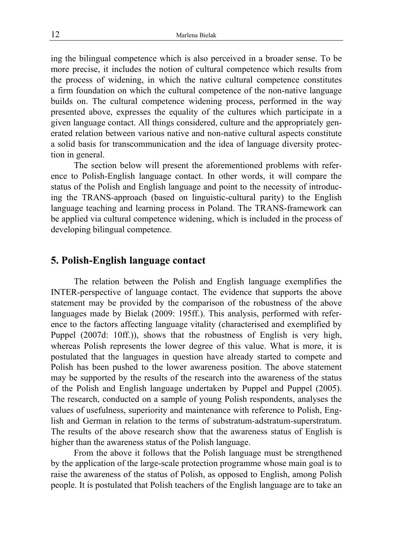ing the bilingual competence which is also perceived in a broader sense. To be more precise, it includes the notion of cultural competence which results from the process of widening, in which the native cultural competence constitutes a firm foundation on which the cultural competence of the non-native language builds on. The cultural competence widening process, performed in the way presented above, expresses the equality of the cultures which participate in a given language contact. All things considered, culture and the appropriately generated relation between various native and non-native cultural aspects constitute a solid basis for transcommunication and the idea of language diversity protection in general.

The section below will present the aforementioned problems with reference to Polish-English language contact. In other words, it will compare the status of the Polish and English language and point to the necessity of introducing the TRANS-approach (based on linguistic-cultural parity) to the English language teaching and learning process in Poland. The TRANS-framework can be applied via cultural competence widening, which is included in the process of developing bilingual competence.

### **5. Polish-English language contact**

The relation between the Polish and English language exemplifies the INTER-perspective of language contact. The evidence that supports the above statement may be provided by the comparison of the robustness of the above languages made by Bielak (2009: 195ff.). This analysis, performed with reference to the factors affecting language vitality (characterised and exemplified by Puppel (2007d: 10ff.)), shows that the robustness of English is very high, whereas Polish represents the lower degree of this value. What is more, it is postulated that the languages in question have already started to compete and Polish has been pushed to the lower awareness position. The above statement may be supported by the results of the research into the awareness of the status of the Polish and English language undertaken by Puppel and Puppel (2005). The research, conducted on a sample of young Polish respondents, analyses the values of usefulness, superiority and maintenance with reference to Polish, English and German in relation to the terms of substratum*-*adstratum*-*superstratum. The results of the above research show that the awareness status of English is higher than the awareness status of the Polish language.

From the above it follows that the Polish language must be strengthened by the application of the large-scale protection programme whose main goal is to raise the awareness of the status of Polish, as opposed to English, among Polish people. It is postulated that Polish teachers of the English language are to take an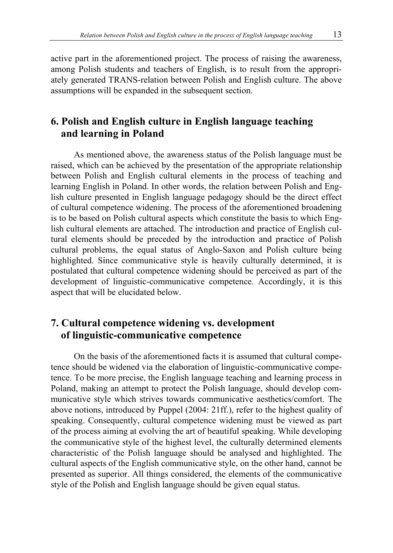active part in the aforementioned project. The process of raising the awareness, among Polish students and teachers of English, is to result from the appropriately generated TRANS-relation between Polish and English culture. The above assumptions will be expanded in the subsequent section.

# **6. Polish and English culture in English language teaching and learning in Poland**

As mentioned above, the awareness status of the Polish language must be raised, which can be achieved by the presentation of the appropriate relationship between Polish and English cultural elements in the process of teaching and learning English in Poland. In other words, the relation between Polish and English culture presented in English language pedagogy should be the direct effect of cultural competence widening. The process of the aforementioned broadening is to be based on Polish cultural aspects which constitute the basis to which English cultural elements are attached. The introduction and practice of English cultural elements should be preceded by the introduction and practice of Polish cultural problems, the equal status of Anglo-Saxon and Polish culture being highlighted. Since communicative style is heavily culturally determined, it is postulated that cultural competence widening should be perceived as part of the development of linguistic-communicative competence. Accordingly, it is this aspect that will be elucidated below.

# **7. Cultural competence widening vs. development of linguistic-communicative competence**

On the basis of the aforementioned facts it is assumed that cultural competence should be widened via the elaboration of linguistic-communicative competence. To be more precise, the English language teaching and learning process in Poland, making an attempt to protect the Polish language, should develop communicative style which strives towards communicative aesthetics/comfort. The above notions, introduced by Puppel (2004: 21ff.), refer to the highest quality of speaking. Consequently, cultural competence widening must be viewed as part of the process aiming at evolving the art of beautiful speaking. While developing the communicative style of the highest level, the culturally determined elements characteristic of the Polish language should be analysed and highlighted. The cultural aspects of the English communicative style, on the other hand, cannot be presented as superior. All things considered, the elements of the communicative style of the Polish and English language should be given equal status.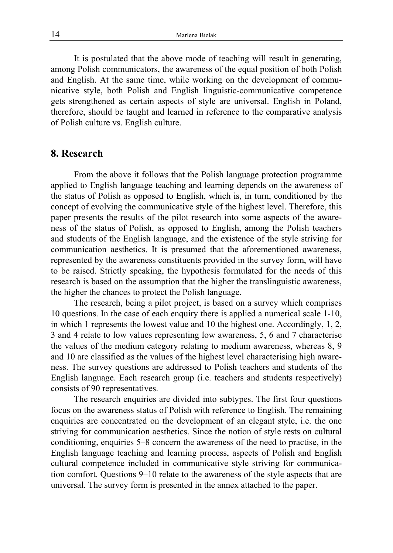It is postulated that the above mode of teaching will result in generating, among Polish communicators, the awareness of the equal position of both Polish and English. At the same time, while working on the development of communicative style, both Polish and English linguistic-communicative competence gets strengthened as certain aspects of style are universal. English in Poland, therefore, should be taught and learned in reference to the comparative analysis of Polish culture vs. English culture.

### **8. Research**

From the above it follows that the Polish language protection programme applied to English language teaching and learning depends on the awareness of the status of Polish as opposed to English, which is, in turn, conditioned by the concept of evolving the communicative style of the highest level. Therefore, this paper presents the results of the pilot research into some aspects of the awareness of the status of Polish, as opposed to English, among the Polish teachers and students of the English language, and the existence of the style striving for communication aesthetics. It is presumed that the aforementioned awareness, represented by the awareness constituents provided in the survey form, will have to be raised. Strictly speaking, the hypothesis formulated for the needs of this research is based on the assumption that the higher the translinguistic awareness, the higher the chances to protect the Polish language.

The research, being a pilot project, is based on a survey which comprises 10 questions. In the case of each enquiry there is applied a numerical scale 1-10, in which 1 represents the lowest value and 10 the highest one. Accordingly, 1, 2, 3 and 4 relate to low values representing low awareness, 5, 6 and 7 characterise the values of the medium category relating to medium awareness, whereas 8, 9 and 10 are classified as the values of the highest level characterising high awareness. The survey questions are addressed to Polish teachers and students of the English language. Each research group (i.e. teachers and students respectively) consists of 90 representatives.

The research enquiries are divided into subtypes. The first four questions focus on the awareness status of Polish with reference to English. The remaining enquiries are concentrated on the development of an elegant style, i.e. the one striving for communication aesthetics. Since the notion of style rests on cultural conditioning, enquiries 5–8 concern the awareness of the need to practise, in the English language teaching and learning process, aspects of Polish and English cultural competence included in communicative style striving for communication comfort. Questions 9–10 relate to the awareness of the style aspects that are universal. The survey form is presented in the annex attached to the paper.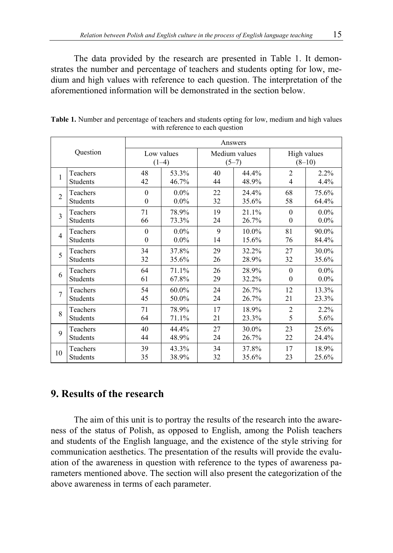The data provided by the research are presented in Table 1. It demonstrates the number and percentage of teachers and students opting for low, medium and high values with reference to each question. The interpretation of the aforementioned information will be demonstrated in the section below.

| Question       |                 | Answers               |         |                          |       |                         |         |
|----------------|-----------------|-----------------------|---------|--------------------------|-------|-------------------------|---------|
|                |                 | Low values<br>$(1-4)$ |         | Medium values<br>$(5-7)$ |       | High values<br>$(8-10)$ |         |
| 1              | Teachers        | 48                    | 53.3%   | 40                       | 44.4% | $\overline{2}$          | 2.2%    |
|                | Students        | 42                    | 46.7%   | 44                       | 48.9% | $\overline{4}$          | 4.4%    |
| $\overline{c}$ | Teachers        | $\theta$              | $0.0\%$ | 22                       | 24.4% | 68                      | 75.6%   |
|                | <b>Students</b> | $\theta$              | $0.0\%$ | 32                       | 35.6% | 58                      | 64.4%   |
| $\mathcal{E}$  | Teachers        | 71                    | 78.9%   | 19                       | 21.1% | $\theta$                | $0.0\%$ |
|                | <b>Students</b> | 66                    | 73.3%   | 24                       | 26.7% | $\mathbf{0}$            | $0.0\%$ |
| $\overline{4}$ | Teachers        | $\theta$              | $0.0\%$ | 9                        | 10.0% | 81                      | 90.0%   |
|                | Students        | $\Omega$              | $0.0\%$ | 14                       | 15.6% | 76                      | 84.4%   |
| 5              | Teachers        | 34                    | 37.8%   | 29                       | 32.2% | 27                      | 30.0%   |
|                | <b>Students</b> | 32                    | 35.6%   | 26                       | 28.9% | 32                      | 35.6%   |
| 6              | Teachers        | 64                    | 71.1%   | 26                       | 28.9% | $\theta$                | $0.0\%$ |
|                | <b>Students</b> | 61                    | 67.8%   | 29                       | 32.2% | $\boldsymbol{0}$        | $0.0\%$ |
| $\overline{7}$ | Teachers        | 54                    | 60.0%   | 24                       | 26.7% | 12                      | 13.3%   |
|                | <b>Students</b> | 45                    | 50.0%   | 24                       | 26.7% | 21                      | 23.3%   |
| $\mathbf{8}$   | Teachers        | 71                    | 78.9%   | 17                       | 18.9% | $\overline{2}$          | 2.2%    |
|                | <b>Students</b> | 64                    | 71.1%   | 21                       | 23.3% | 5                       | 5.6%    |
| 9              | Teachers        | 40                    | 44.4%   | 27                       | 30.0% | 23                      | 25.6%   |
|                | <b>Students</b> | 44                    | 48.9%   | 24                       | 26.7% | 22                      | 24.4%   |
| 10             | Teachers        | 39                    | 43.3%   | 34                       | 37.8% | 17                      | 18.9%   |
|                | <b>Students</b> | 35                    | 38.9%   | 32                       | 35.6% | 23                      | 25.6%   |

**Table 1.** Number and percentage of teachers and students opting for low, medium and high values with reference to each question

# **9. Results of the research**

The aim of this unit is to portray the results of the research into the awareness of the status of Polish, as opposed to English, among the Polish teachers and students of the English language, and the existence of the style striving for communication aesthetics. The presentation of the results will provide the evaluation of the awareness in question with reference to the types of awareness parameters mentioned above. The section will also present the categorization of the above awareness in terms of each parameter.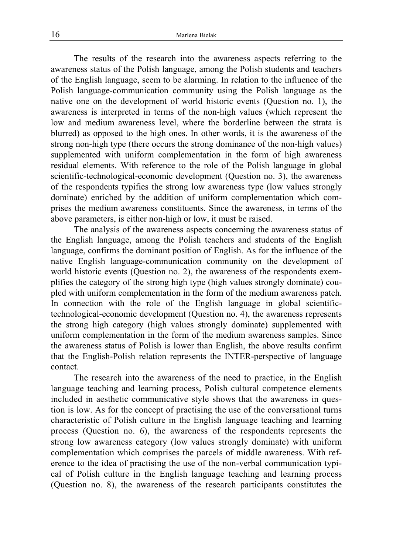The results of the research into the awareness aspects referring to the awareness status of the Polish language, among the Polish students and teachers of the English language, seem to be alarming. In relation to the influence of the Polish language-communication community using the Polish language as the native one on the development of world historic events (Question no. 1), the awareness is interpreted in terms of the non-high values (which represent the low and medium awareness level, where the borderline between the strata is blurred) as opposed to the high ones. In other words, it is the awareness of the strong non-high type (there occurs the strong dominance of the non-high values) supplemented with uniform complementation in the form of high awareness residual elements. With reference to the role of the Polish language in global scientific-technological-economic development (Question no. 3), the awareness of the respondents typifies the strong low awareness type (low values strongly dominate) enriched by the addition of uniform complementation which comprises the medium awareness constituents. Since the awareness, in terms of the above parameters, is either non-high or low, it must be raised.

The analysis of the awareness aspects concerning the awareness status of the English language, among the Polish teachers and students of the English language, confirms the dominant position of English. As for the influence of the native English language-communication community on the development of world historic events (Question no. 2), the awareness of the respondents exemplifies the category of the strong high type (high values strongly dominate) coupled with uniform complementation in the form of the medium awareness patch. In connection with the role of the English language in global scientifictechnological-economic development (Question no. 4), the awareness represents the strong high category (high values strongly dominate) supplemented with uniform complementation in the form of the medium awareness samples. Since the awareness status of Polish is lower than English, the above results confirm that the English-Polish relation represents the INTER-perspective of language contact.

The research into the awareness of the need to practice, in the English language teaching and learning process, Polish cultural competence elements included in aesthetic communicative style shows that the awareness in question is low. As for the concept of practising the use of the conversational turns characteristic of Polish culture in the English language teaching and learning process (Question no. 6), the awareness of the respondents represents the strong low awareness category (low values strongly dominate) with uniform complementation which comprises the parcels of middle awareness. With reference to the idea of practising the use of the non-verbal communication typical of Polish culture in the English language teaching and learning process (Question no. 8), the awareness of the research participants constitutes the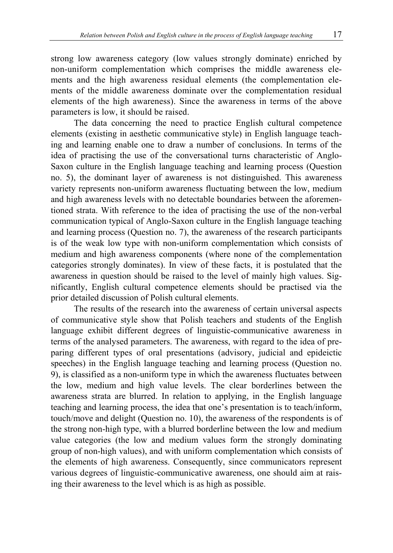strong low awareness category (low values strongly dominate) enriched by non-uniform complementation which comprises the middle awareness elements and the high awareness residual elements (the complementation elements of the middle awareness dominate over the complementation residual elements of the high awareness). Since the awareness in terms of the above parameters is low, it should be raised.

The data concerning the need to practice English cultural competence elements (existing in aesthetic communicative style) in English language teaching and learning enable one to draw a number of conclusions. In terms of the idea of practising the use of the conversational turns characteristic of Anglo-Saxon culture in the English language teaching and learning process (Question no. 5), the dominant layer of awareness is not distinguished. This awareness variety represents non-uniform awareness fluctuating between the low, medium and high awareness levels with no detectable boundaries between the aforementioned strata. With reference to the idea of practising the use of the non-verbal communication typical of Anglo-Saxon culture in the English language teaching and learning process (Question no. 7), the awareness of the research participants is of the weak low type with non-uniform complementation which consists of medium and high awareness components (where none of the complementation categories strongly dominates). In view of these facts, it is postulated that the awareness in question should be raised to the level of mainly high values. Significantly, English cultural competence elements should be practised via the prior detailed discussion of Polish cultural elements.

The results of the research into the awareness of certain universal aspects of communicative style show that Polish teachers and students of the English language exhibit different degrees of linguistic-communicative awareness in terms of the analysed parameters. The awareness, with regard to the idea of preparing different types of oral presentations (advisory, judicial and epideictic speeches) in the English language teaching and learning process (Question no. 9), is classified as a non-uniform type in which the awareness fluctuates between the low, medium and high value levels. The clear borderlines between the awareness strata are blurred. In relation to applying, in the English language teaching and learning process, the idea that one's presentation is to teach/inform, touch/move and delight (Question no. 10), the awareness of the respondents is of the strong non-high type, with a blurred borderline between the low and medium value categories (the low and medium values form the strongly dominating group of non-high values), and with uniform complementation which consists of the elements of high awareness. Consequently, since communicators represent various degrees of linguistic-communicative awareness, one should aim at raising their awareness to the level which is as high as possible.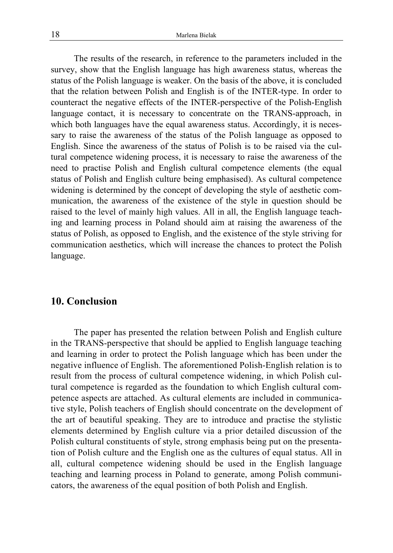The results of the research, in reference to the parameters included in the survey, show that the English language has high awareness status, whereas the status of the Polish language is weaker. On the basis of the above, it is concluded that the relation between Polish and English is of the INTER-type. In order to counteract the negative effects of the INTER-perspective of the Polish-English language contact, it is necessary to concentrate on the TRANS-approach, in which both languages have the equal awareness status. Accordingly, it is necessary to raise the awareness of the status of the Polish language as opposed to English. Since the awareness of the status of Polish is to be raised via the cultural competence widening process, it is necessary to raise the awareness of the need to practise Polish and English cultural competence elements (the equal status of Polish and English culture being emphasised). As cultural competence widening is determined by the concept of developing the style of aesthetic communication, the awareness of the existence of the style in question should be raised to the level of mainly high values. All in all, the English language teaching and learning process in Poland should aim at raising the awareness of the status of Polish, as opposed to English, and the existence of the style striving for communication aesthetics, which will increase the chances to protect the Polish language.

#### **10. Conclusion**

The paper has presented the relation between Polish and English culture in the TRANS-perspective that should be applied to English language teaching and learning in order to protect the Polish language which has been under the negative influence of English. The aforementioned Polish-English relation is to result from the process of cultural competence widening, in which Polish cultural competence is regarded as the foundation to which English cultural competence aspects are attached. As cultural elements are included in communicative style, Polish teachers of English should concentrate on the development of the art of beautiful speaking. They are to introduce and practise the stylistic elements determined by English culture via a prior detailed discussion of the Polish cultural constituents of style, strong emphasis being put on the presentation of Polish culture and the English one as the cultures of equal status. All in all, cultural competence widening should be used in the English language teaching and learning process in Poland to generate, among Polish communicators, the awareness of the equal position of both Polish and English.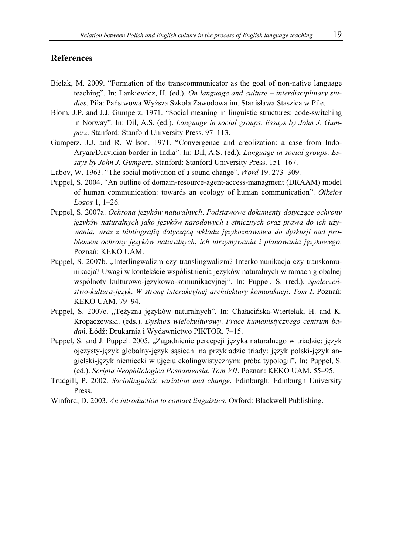#### **References**

- Bielak, M. 2009. "Formation of the transcommunicator as the goal of non-native language teaching". In: Lankiewicz, H. (ed.). *On language and culture – interdisciplinary studies*. Piła: Państwowa Wyższa Szkoła Zawodowa im. Stanisława Staszica w Pile.
- Blom, J.P. and J.J. Gumperz. 1971. "Social meaning in linguistic structures: code-switching in Norway". In: Dil, A.S. (ed.). *Language in social groups*. *Essays by John J*. *Gumperz*. Stanford: Stanford University Press. 97–113.
- Gumperz, J.J. and R. Wilson. 1971. "Convergence and creolization: a case from Indo-Aryan/Dravidian border in India". In: Dil, A.S. (ed.), *Language in social groups*. *Essays by John J*. *Gumperz*. Stanford: Stanford University Press. 151–167.
- Labov, W. 1963. "The social motivation of a sound change". *Word* 19. 273–309.
- Puppel, S. 2004. "An outline of domain-resource-agent-access-managment (DRAAM) model of human communication: towards an ecology of human communication". *Oikeios Logos* 1, 1–26.
- Puppel, S. 2007a. *Ochrona języków naturalnych*. *Podstawowe dokumenty dotyczące ochrony języków naturalnych jako języków narodowych i etnicznych oraz prawa do ich używania*, *wraz z bibliografią dotyczącą wkładu językoznawstwa do dyskusji nad problemem ochrony języków naturalnych*, *ich utrzymywania i planowania językowego*. Poznań: KEKO UAM.
- Puppel, S. 2007b. "Interlingwalizm czy translingwalizm? Interkomunikacja czy transkomunikacja? Uwagi w kontekście współistnienia języków naturalnych w ramach globalnej wspólnoty kulturowo-językowo-komunikacyjnej". In: Puppel, S. (red.). *Społeczeństwo-kultura-język*. *W stronę interakcyjnej architektury komunikacji*. *Tom I*. Poznań: KEKO UAM. 79–94.
- Puppel, S. 2007c. "Tężyzna języków naturalnych". In: Chałacińska-Wiertelak, H. and K. Kropaczewski. (eds.). *Dyskurs wielokulturowy*. *Prace humanistycznego centrum badań*. Łódź: Drukarnia i Wydawnictwo PIKTOR. 7–15.
- Puppel, S. and J. Puppel. 2005. "Zagadnienie percepcji języka naturalnego w triadzie: język ojczysty-język globalny-język sąsiedni na przykładzie triady: język polski-język angielski-język niemiecki w ujęciu ekolingwistycznym: próba typologii". In: Puppel, S. (ed.). *Scripta Neophilologica Posnaniensia. Tom VII*. Poznań: KEKO UAM. 55-95.
- Trudgill, P. 2002. *Sociolinguistic variation and change*. Edinburgh: Edinburgh University Press.
- Winford, D. 2003. *An introduction to contact linguistics*. Oxford: Blackwell Publishing.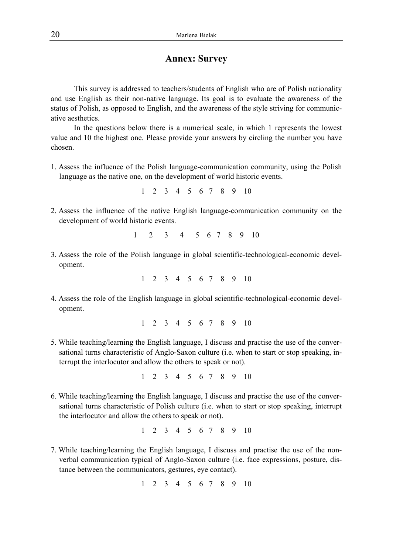### **Annex: Survey**

This survey is addressed to teachers/students of English who are of Polish nationality and use English as their non-native language. Its goal is to evaluate the awareness of the status of Polish, as opposed to English, and the awareness of the style striving for communicative aesthetics.

In the questions below there is a numerical scale, in which 1 represents the lowest value and 10 the highest one. Please provide your answers by circling the number you have chosen.

1. Assess the influence of the Polish language-communication community, using the Polish language as the native one, on the development of world historic events.

1 2 3 4 5 6 7 8 9 10

2. Assess the influence of the native English language-communication community on the development of world historic events.

1 2 3 4 5 6 7 8 9 10

3. Assess the role of the Polish language in global scientific-technological-economic development.

1 2 3 4 5 6 7 8 9 10

4. Assess the role of the English language in global scientific-technological-economic development.

1 2 3 4 5 6 7 8 9 10

5. While teaching/learning the English language, I discuss and practise the use of the conversational turns characteristic of Anglo-Saxon culture (i.e. when to start or stop speaking, interrupt the interlocutor and allow the others to speak or not).

1 2 3 4 5 6 7 8 9 10

6. While teaching/learning the English language, I discuss and practise the use of the conversational turns characteristic of Polish culture (i.e. when to start or stop speaking, interrupt the interlocutor and allow the others to speak or not).

1 2 3 4 5 6 7 8 9 10

7. While teaching/learning the English language, I discuss and practise the use of the nonverbal communication typical of Anglo-Saxon culture (i.e. face expressions, posture, distance between the communicators, gestures, eye contact).

1 2 3 4 5 6 7 8 9 10